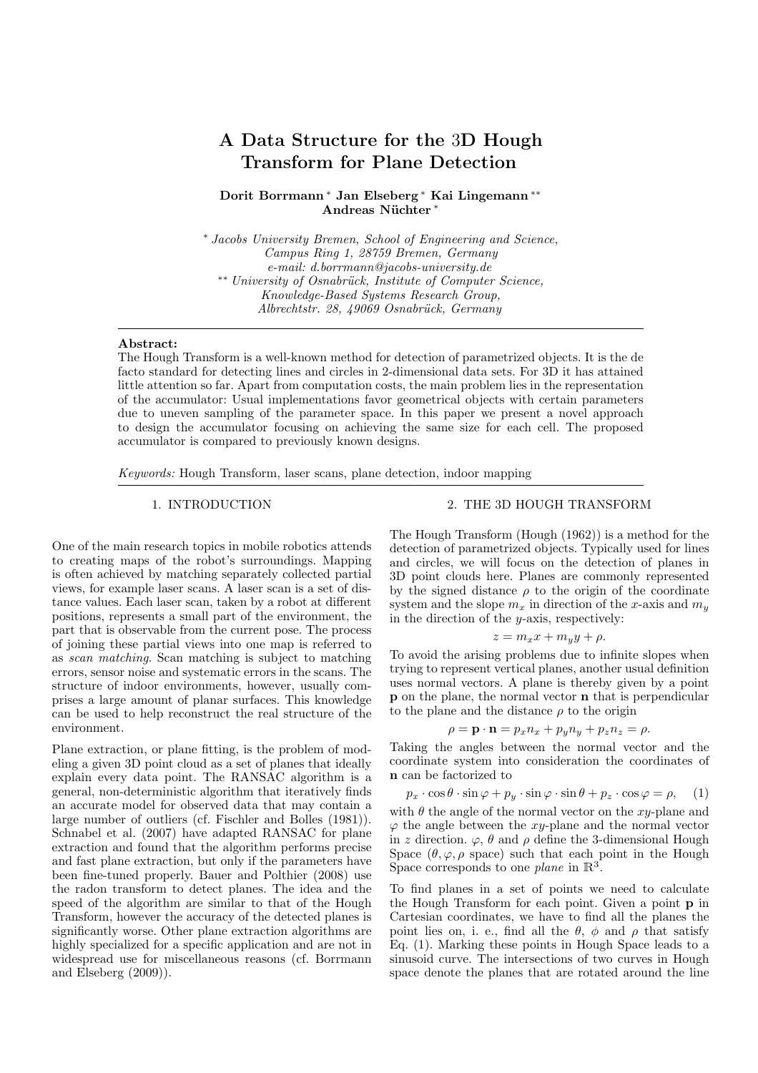# A Data Structure for the 3D Hough Transform for Plane Detection

Dorit Borrmann <sup>∗</sup> Jan Elseberg <sup>∗</sup> Kai Lingemann ∗∗ Andreas Nüchter\*

<sup>∗</sup> *Jacobs University Bremen, School of Engineering and Science, Campus Ring 1, 28759 Bremen, Germany e-mail: d.borrmann@jacobs-university.de* ∗∗ *University of Osnabr¨uck, Institute of Computer Science, Knowledge-Based Systems Research Group, Albrechtstr. 28, 49069 Osnabr¨uck, Germany*

## Abstract:

The Hough Transform is a well-known method for detection of parametrized objects. It is the de facto standard for detecting lines and circles in 2-dimensional data sets. For 3D it has attained little attention so far. Apart from computation costs, the main problem lies in the representation of the accumulator: Usual implementations favor geometrical objects with certain parameters due to uneven sampling of the parameter space. In this paper we present a novel approach to design the accumulator focusing on achieving the same size for each cell. The proposed accumulator is compared to previously known designs.

*Keywords:* Hough Transform, laser scans, plane detection, indoor mapping

## 1. INTRODUCTION

One of the main research topics in mobile robotics attends to creating maps of the robot's surroundings. Mapping is often achieved by matching separately collected partial views, for example laser scans. A laser scan is a set of distance values. Each laser scan, taken by a robot at different positions, represents a small part of the environment, the part that is observable from the current pose. The process of joining these partial views into one map is referred to as *scan matching*. Scan matching is subject to matching errors, sensor noise and systematic errors in the scans. The structure of indoor environments, however, usually comprises a large amount of planar surfaces. This knowledge can be used to help reconstruct the real structure of the environment.

Plane extraction, or plane fitting, is the problem of modeling a given 3D point cloud as a set of planes that ideally explain every data point. The RANSAC algorithm is a general, non-deterministic algorithm that iteratively finds an accurate model for observed data that may contain a large number of outliers (cf. Fischler and Bolles (1981)). Schnabel et al. (2007) have adapted RANSAC for plane extraction and found that the algorithm performs precise and fast plane extraction, but only if the parameters have been fine-tuned properly. Bauer and Polthier (2008) use the radon transform to detect planes. The idea and the speed of the algorithm are similar to that of the Hough Transform, however the accuracy of the detected planes is significantly worse. Other plane extraction algorithms are highly specialized for a specific application and are not in widespread use for miscellaneous reasons (cf. Borrmann and Elseberg (2009)).

## 2. THE 3D HOUGH TRANSFORM

The Hough Transform (Hough (1962)) is a method for the detection of parametrized objects. Typically used for lines and circles, we will focus on the detection of planes in 3D point clouds here. Planes are commonly represented by the signed distance  $\rho$  to the origin of the coordinate system and the slope  $m_x$  in direction of the x-axis and  $m_y$ in the direction of the y-axis, respectively:

$$
z = m_x x + m_y y + \rho.
$$

To avoid the arising problems due to infinite slopes when trying to represent vertical planes, another usual definition uses normal vectors. A plane is thereby given by a point p on the plane, the normal vector n that is perpendicular to the plane and the distance  $\rho$  to the origin

$$
\rho = \mathbf{p} \cdot \mathbf{n} = p_x n_x + p_y n_y + p_z n_z = \rho.
$$

Taking the angles between the normal vector and the coordinate system into consideration the coordinates of n can be factorized to

$$
p_x \cdot \cos \theta \cdot \sin \varphi + p_y \cdot \sin \varphi \cdot \sin \theta + p_z \cdot \cos \varphi = \rho, \quad (1)
$$

with  $\theta$  the angle of the normal vector on the xy-plane and  $\varphi$  the angle between the xy-plane and the normal vector in z direction.  $\varphi$ ,  $\theta$  and  $\rho$  define the 3-dimensional Hough Space  $(\theta, \varphi, \rho \text{ space})$  such that each point in the Hough Space corresponds to one *plane* in  $\mathbb{R}^3$ .

To find planes in a set of points we need to calculate the Hough Transform for each point. Given a point p in Cartesian coordinates, we have to find all the planes the point lies on, i. e., find all the  $\theta$ ,  $\phi$  and  $\rho$  that satisfy Eq. (1). Marking these points in Hough Space leads to a sinusoid curve. The intersections of two curves in Hough space denote the planes that are rotated around the line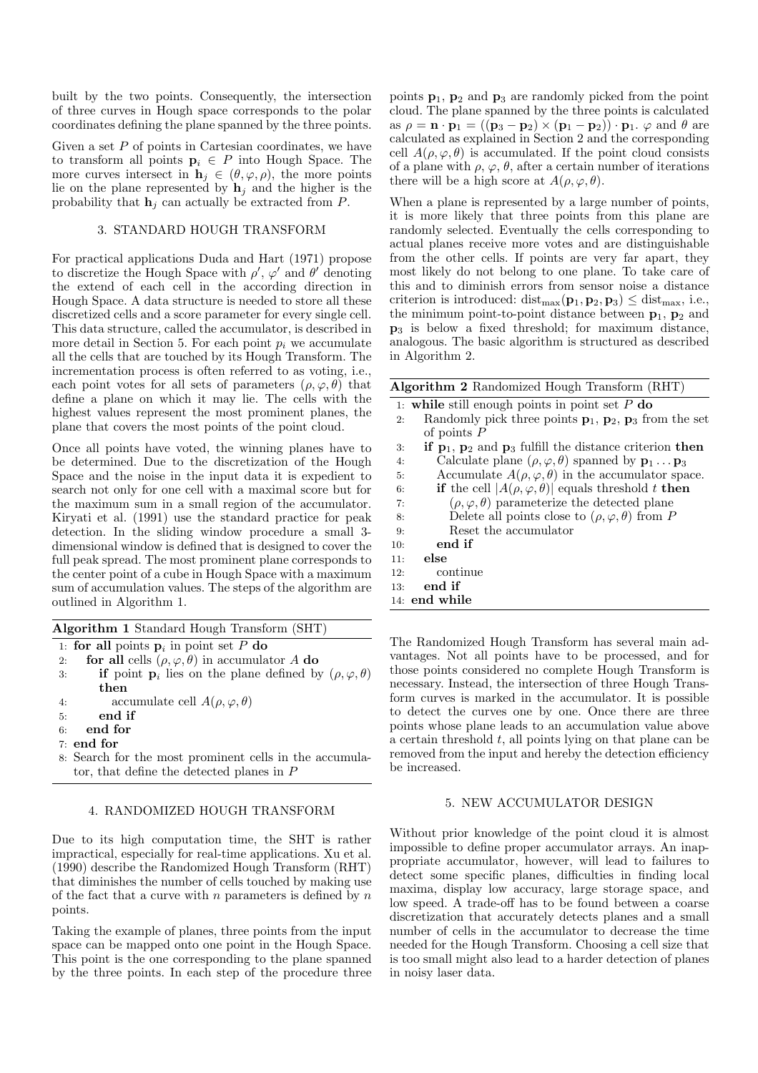built by the two points. Consequently, the intersection of three curves in Hough space corresponds to the polar coordinates defining the plane spanned by the three points.

Given a set  $P$  of points in Cartesian coordinates, we have to transform all points  $p_i \in P$  into Hough Space. The more curves intersect in  $\mathbf{h}_j \in (\theta, \varphi, \rho)$ , the more points lie on the plane represented by  $\mathbf{h}_i$  and the higher is the probability that  $\mathbf{h}_i$  can actually be extracted from P.

## 3. STANDARD HOUGH TRANSFORM

For practical applications Duda and Hart (1971) propose to discretize the Hough Space with  $\rho'$ ,  $\varphi'$  and  $\theta'$  denoting the extend of each cell in the according direction in Hough Space. A data structure is needed to store all these discretized cells and a score parameter for every single cell. This data structure, called the accumulator, is described in more detail in Section 5. For each point  $p_i$  we accumulate all the cells that are touched by its Hough Transform. The incrementation process is often referred to as voting, i.e., each point votes for all sets of parameters  $(\rho, \varphi, \theta)$  that define a plane on which it may lie. The cells with the highest values represent the most prominent planes, the plane that covers the most points of the point cloud.

Once all points have voted, the winning planes have to be determined. Due to the discretization of the Hough Space and the noise in the input data it is expedient to search not only for one cell with a maximal score but for the maximum sum in a small region of the accumulator. Kiryati et al. (1991) use the standard practice for peak detection. In the sliding window procedure a small 3 dimensional window is defined that is designed to cover the full peak spread. The most prominent plane corresponds to the center point of a cube in Hough Space with a maximum sum of accumulation values. The steps of the algorithm are outlined in Algorithm 1.

| Algorithm 1 Standard Hough Transform (SHT) |  |
|--------------------------------------------|--|
|--------------------------------------------|--|

|    | 1. for all points $\mathbf{p}_i$ in point set P do                                    |                      |  |  |
|----|---------------------------------------------------------------------------------------|----------------------|--|--|
| 2: | for all cells $(\rho, \varphi, \theta)$ in accumulator A do                           |                      |  |  |
| 3: | <b>if</b> point $\mathbf{p}_i$ lies on the plane defined by $(\rho, \varphi, \theta)$ |                      |  |  |
|    | then                                                                                  |                      |  |  |
|    |                                                                                       | $1 \quad 11 \quad 4$ |  |  |

- 4: accumulate cell  $A(\rho, \varphi, \theta)$
- 5: end if
- 6: end for
- 7: end for
- 8: Search for the most prominent cells in the accumulator, that define the detected planes in P

#### 4. RANDOMIZED HOUGH TRANSFORM

Due to its high computation time, the SHT is rather impractical, especially for real-time applications. Xu et al. (1990) describe the Randomized Hough Transform (RHT) that diminishes the number of cells touched by making use of the fact that a curve with  $n$  parameters is defined by  $n$ points.

Taking the example of planes, three points from the input space can be mapped onto one point in the Hough Space. This point is the one corresponding to the plane spanned by the three points. In each step of the procedure three points  $\mathbf{p}_1$ ,  $\mathbf{p}_2$  and  $\mathbf{p}_3$  are randomly picked from the point cloud. The plane spanned by the three points is calculated as  $\rho = \mathbf{n} \cdot \mathbf{p}_1 = ((\mathbf{p}_3 - \mathbf{p}_2) \times (\mathbf{p}_1 - \mathbf{p}_2)) \cdot \mathbf{p}_1$ .  $\varphi$  and  $\theta$  are calculated as explained in Section 2 and the corresponding cell  $A(\rho, \varphi, \theta)$  is accumulated. If the point cloud consists of a plane with  $\rho$ ,  $\varphi$ ,  $\theta$ , after a certain number of iterations there will be a high score at  $A(\rho, \varphi, \theta)$ .

When a plane is represented by a large number of points, it is more likely that three points from this plane are randomly selected. Eventually the cells corresponding to actual planes receive more votes and are distinguishable from the other cells. If points are very far apart, they most likely do not belong to one plane. To take care of this and to diminish errors from sensor noise a distance criterion is introduced:  $dist_{max}(\mathbf{p}_1, \mathbf{p}_2, \mathbf{p}_3) \leq dist_{max}$ , i.e., the minimum point-to-point distance between  $p_1$ ,  $p_2$  and  $p_3$  is below a fixed threshold; for maximum distance, analogous. The basic algorithm is structured as described in Algorithm 2.

|    | Algorithm 2 Randomized Hough Transform (RHT)                                              |
|----|-------------------------------------------------------------------------------------------|
|    | 1: while still enough points in point set $P$ do                                          |
| 2: | Randomly pick three points $\mathbf{p}_1$ , $\mathbf{p}_2$ , $\mathbf{p}_3$ from the set  |
|    | of points $P$                                                                             |
| 3: | if $\mathbf{p}_1$ , $\mathbf{p}_2$ and $\mathbf{p}_3$ fulfill the distance criterion then |
| 4: | Calculate plane $(\rho, \varphi, \theta)$ spanned by $\mathbf{p}_1 \dots \mathbf{p}_3$    |
| 5: | Accumulate $A(\rho, \varphi, \theta)$ in the accumulator space.                           |
| 6: | <b>if</b> the cell $ A(\rho, \varphi, \theta) $ equals threshold t then                   |

7:  $(\rho, \varphi, \theta)$  parameterize the detected plane 8: Delete all points close to  $(\rho, \varphi, \theta)$  from P 9: Reset the accumulator 10: end if 11: else 12: continue 13: end if

14: end while

The Randomized Hough Transform has several main advantages. Not all points have to be processed, and for those points considered no complete Hough Transform is necessary. Instead, the intersection of three Hough Transform curves is marked in the accumulator. It is possible to detect the curves one by one. Once there are three points whose plane leads to an accumulation value above a certain threshold  $t$ , all points lying on that plane can be removed from the input and hereby the detection efficiency be increased.

## 5. NEW ACCUMULATOR DESIGN

Without prior knowledge of the point cloud it is almost impossible to define proper accumulator arrays. An inappropriate accumulator, however, will lead to failures to detect some specific planes, difficulties in finding local maxima, display low accuracy, large storage space, and low speed. A trade-off has to be found between a coarse discretization that accurately detects planes and a small number of cells in the accumulator to decrease the time needed for the Hough Transform. Choosing a cell size that is too small might also lead to a harder detection of planes in noisy laser data.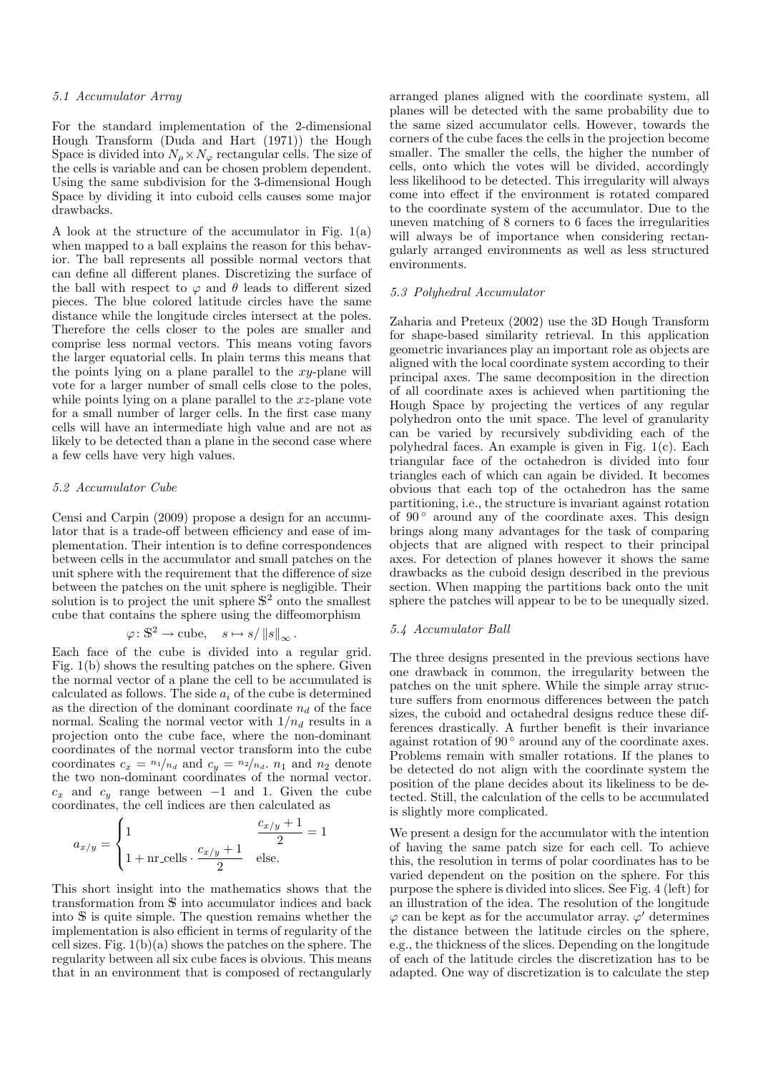#### *5.1 Accumulator Array*

For the standard implementation of the 2-dimensional Hough Transform (Duda and Hart (1971)) the Hough Space is divided into  $N_{\rho} \times N_{\varphi}$  rectangular cells. The size of the cells is variable and can be chosen problem dependent. Using the same subdivision for the 3-dimensional Hough Space by dividing it into cuboid cells causes some major drawbacks.

A look at the structure of the accumulator in Fig. 1(a) when mapped to a ball explains the reason for this behavior. The ball represents all possible normal vectors that can define all different planes. Discretizing the surface of the ball with respect to  $\varphi$  and  $\theta$  leads to different sized pieces. The blue colored latitude circles have the same distance while the longitude circles intersect at the poles. Therefore the cells closer to the poles are smaller and comprise less normal vectors. This means voting favors the larger equatorial cells. In plain terms this means that the points lying on a plane parallel to the  $xy$ -plane will vote for a larger number of small cells close to the poles, while points lying on a plane parallel to the xz-plane vote for a small number of larger cells. In the first case many cells will have an intermediate high value and are not as likely to be detected than a plane in the second case where a few cells have very high values.

#### *5.2 Accumulator Cube*

Censi and Carpin (2009) propose a design for an accumulator that is a trade-off between efficiency and ease of implementation. Their intention is to define correspondences between cells in the accumulator and small patches on the unit sphere with the requirement that the difference of size between the patches on the unit sphere is negligible. Their solution is to project the unit sphere  $\mathbb{S}^2$  onto the smallest cube that contains the sphere using the diffeomorphism

$$
\varphi \colon \mathbb{S}^2 \to \text{cube}, \quad s \mapsto s / \|s\|_{\infty}.
$$

Each face of the cube is divided into a regular grid. Fig. 1(b) shows the resulting patches on the sphere. Given the normal vector of a plane the cell to be accumulated is calculated as follows. The side  $a_i$  of the cube is determined as the direction of the dominant coordinate  $n_d$  of the face normal. Scaling the normal vector with  $1/n_d$  results in a projection onto the cube face, where the non-dominant coordinates of the normal vector transform into the cube coordinates  $c_x = \frac{n_1}{n_d}$  and  $c_y = \frac{n_2}{n_d}$ .  $n_1$  and  $n_2$  denote the two non-dominant coordinates of the normal vector.  $c_x$  and  $c_y$  range between −1 and 1. Given the cube coordinates, the cell indices are then calculated as

$$
a_{x/y} = \begin{cases} 1 & \frac{c_{x/y} + 1}{2} = 1 \\ 1 + \text{nr}.\text{cells} \cdot \frac{c_{x/y} + 1}{2} & \text{else.} \end{cases}
$$

This short insight into the mathematics shows that the implementation is also efficient in terms of regularity of the cell sizes. Fig.  $1(b)(a)$  shows the patches on the sphere. The regularity between all six cube faces is obvious. This means that in an environment that is composed of rectangularly

arranged planes aligned with the coordinate system, all planes will be detected with the same probability due to the same sized accumulator cells. However, towards the corners of the cube faces the cells in the projection become smaller. The smaller the cells, the higher the number of cells, onto which the votes will be divided, accordingly less likelihood to be detected. This irregularity will always come into effect if the environment is rotated compared to the coordinate system of the accumulator. Due to the uneven matching of 8 corners to 6 faces the irregularities will always be of importance when considering rectangularly arranged environments as well as less structured environments.

## *5.3 Polyhedral Accumulator*

Zaharia and Preteux (2002) use the 3D Hough Transform for shape-based similarity retrieval. In this application geometric invariances play an important role as objects are aligned with the local coordinate system according to their principal axes. The same decomposition in the direction of all coordinate axes is achieved when partitioning the Hough Space by projecting the vertices of any regular polyhedron onto the unit space. The level of granularity can be varied by recursively subdividing each of the polyhedral faces. An example is given in Fig. 1(c). Each triangular face of the octahedron is divided into four triangles each of which can again be divided. It becomes obvious that each top of the octahedron has the same partitioning, i.e., the structure is invariant against rotation of  $90^\circ$  around any of the coordinate axes. This design brings along many advantages for the task of comparing objects that are aligned with respect to their principal axes. For detection of planes however it shows the same drawbacks as the cuboid design described in the previous section. When mapping the partitions back onto the unit sphere the patches will appear to be to be unequally sized.

#### *5.4 Accumulator Ball*

The three designs presented in the previous sections have one drawback in common, the irregularity between the patches on the unit sphere. While the simple array structure suffers from enormous differences between the patch sizes, the cuboid and octahedral designs reduce these differences drastically. A further benefit is their invariance against rotation of  $90^{\circ}$  around any of the coordinate axes. Problems remain with smaller rotations. If the planes to be detected do not align with the coordinate system the position of the plane decides about its likeliness to be detected. Still, the calculation of the cells to be accumulated is slightly more complicated.

transformation from <sup>S</sup> into accumulator indices and back an illustration of the idea. The resolution of the longitude into S is quite simple. The question remains whether the  $\varphi$  can be kept as for the accumulator array.  $\varphi'$  determines We present a design for the accumulator with the intention of having the same patch size for each cell. To achieve this, the resolution in terms of polar coordinates has to be varied dependent on the position on the sphere. For this purpose the sphere is divided into slices. See Fig. 4 (left) for the distance between the latitude circles on the sphere, e.g., the thickness of the slices. Depending on the longitude of each of the latitude circles the discretization has to be adapted. One way of discretization is to calculate the step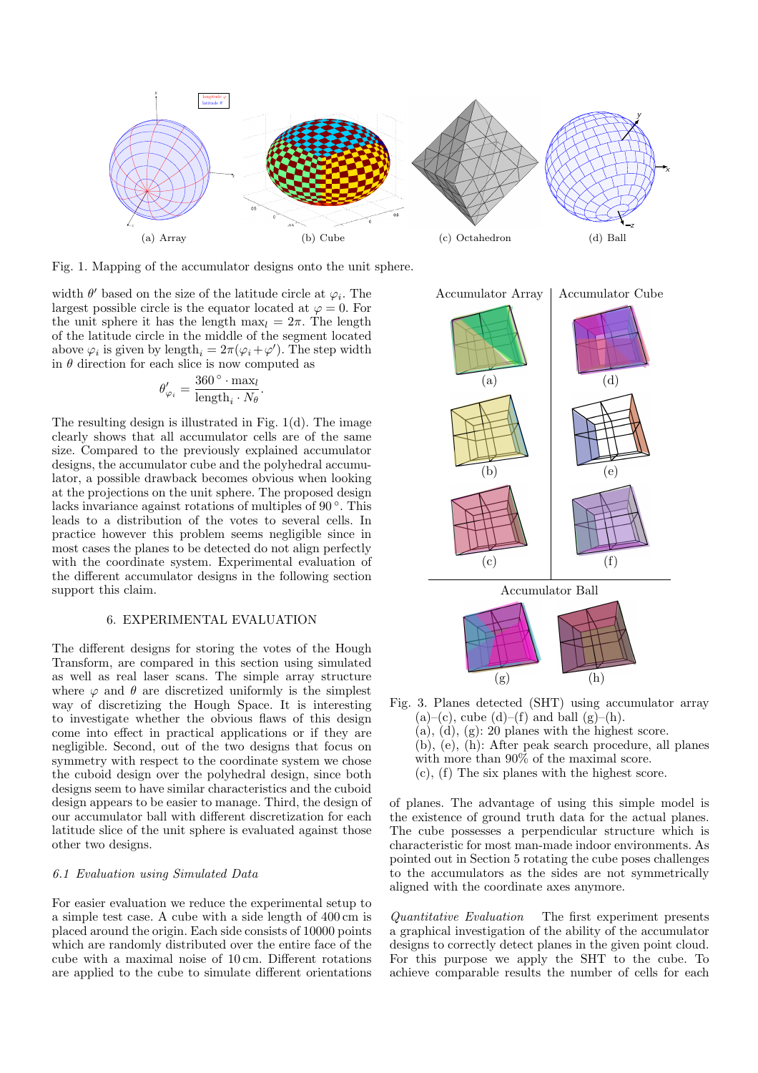

Fig. 1. Mapping of the accumulator designs onto the unit sphere.

width  $\theta'$  based on the size of the latitude circle at  $\varphi_i$ . The largest possible circle is the equator located at  $\varphi = 0$ . For the unit sphere it has the length max<sub>l</sub> =  $2\pi$ . The length of the latitude circle in the middle of the segment located above  $\varphi_i$  is given by length<sub>i</sub> =  $2\pi(\varphi_i + \varphi')$ . The step width in  $\theta$  direction for each slice is now computed as

$$
\theta'_{\varphi_i} = \frac{360^\circ \cdot \max_l}{\text{length}_i \cdot N_\theta}.
$$

The resulting design is illustrated in Fig. 1(d). The image clearly shows that all accumulator cells are of the same size. Compared to the previously explained accumulator designs, the accumulator cube and the polyhedral accumulator, a possible drawback becomes obvious when looking at the projections on the unit sphere. The proposed design lacks invariance against rotations of multiples of 90°. This leads to a distribution of the votes to several cells. In practice however this problem seems negligible since in most cases the planes to be detected do not align perfectly with the coordinate system. Experimental evaluation of the different accumulator designs in the following section support this claim.

## 6. EXPERIMENTAL EVALUATION

The different designs for storing the votes of the Hough Transform, are compared in this section using simulated as well as real laser scans. The simple array structure where  $\varphi$  and  $\theta$  are discretized uniformly is the simplest way of discretizing the Hough Space. It is interesting to investigate whether the obvious flaws of this design come into effect in practical applications or if they are negligible. Second, out of the two designs that focus on symmetry with respect to the coordinate system we chose the cuboid design over the polyhedral design, since both designs seem to have similar characteristics and the cuboid design appears to be easier to manage. Third, the design of our accumulator ball with different discretization for each latitude slice of the unit sphere is evaluated against those other two designs.

## *6.1 Evaluation using Simulated Data*

For easier evaluation we reduce the experimental setup to a simple test case. A cube with a side length of 400 cm is placed around the origin. Each side consists of 10000 points which are randomly distributed over the entire face of the cube with a maximal noise of 10 cm. Different rotations are applied to the cube to simulate different orientations



- Fig. 3. Planes detected (SHT) using accumulator array  $(a)-(c)$ , cube  $(d)-(f)$  and ball  $(g)-(h)$ .  $(a), (d), (g): 20$  planes with the highest score. (b), (e), (h): After peak search procedure, all planes with more than 90% of the maximal score. (c), (f) The six planes with the highest score.
	-

of planes. The advantage of using this simple model is the existence of ground truth data for the actual planes. The cube possesses a perpendicular structure which is characteristic for most man-made indoor environments. As pointed out in Section 5 rotating the cube poses challenges to the accumulators as the sides are not symmetrically aligned with the coordinate axes anymore.

*Quantitative Evaluation* The first experiment presents a graphical investigation of the ability of the accumulator designs to correctly detect planes in the given point cloud. For this purpose we apply the SHT to the cube. To achieve comparable results the number of cells for each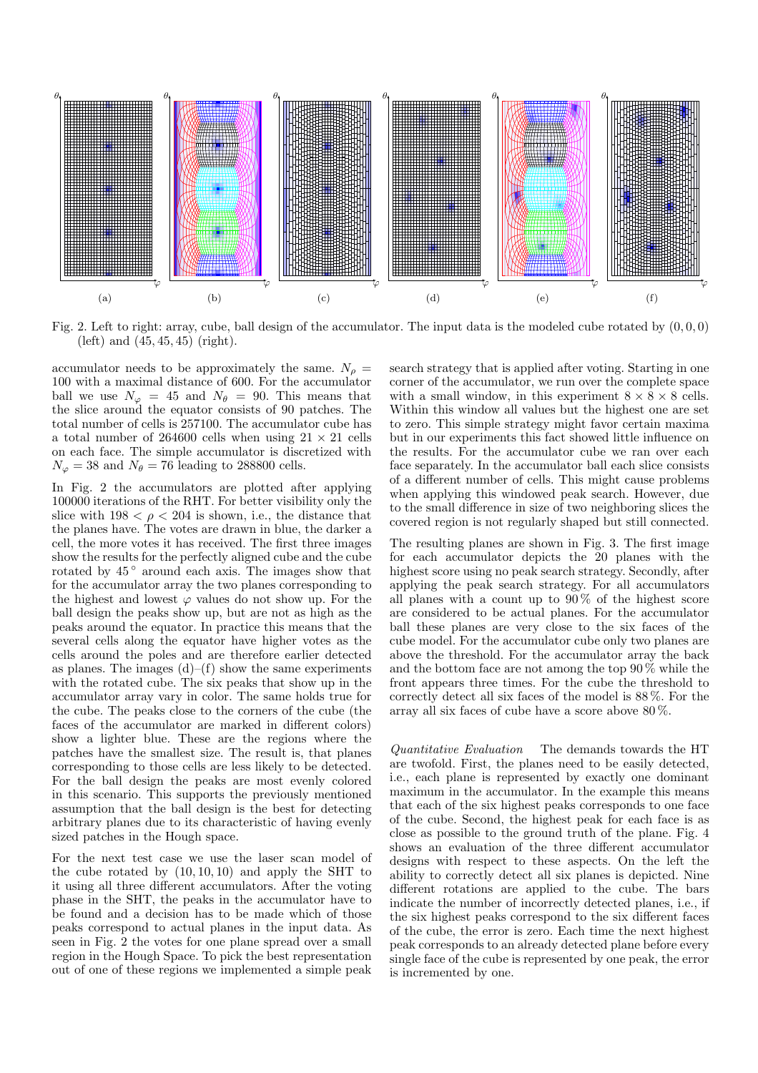

Fig. 2. Left to right: array, cube, ball design of the accumulator. The input data is the modeled cube rotated by  $(0, 0, 0)$ (left) and (45, 45, 45) (right).

accumulator needs to be approximately the same.  $N_{\rho}$  = 100 with a maximal distance of 600. For the accumulator ball we use  $N_{\varphi} = 45$  and  $N_{\theta} = 90$ . This means that the slice around the equator consists of 90 patches. The total number of cells is 257100. The accumulator cube has a total number of 264600 cells when using  $21 \times 21$  cells on each face. The simple accumulator is discretized with  $N_{\varphi} = 38$  and  $N_{\theta} = 76$  leading to 288800 cells.

In Fig. 2 the accumulators are plotted after applying 100000 iterations of the RHT. For better visibility only the slice with  $198 < \rho < 204$  is shown, i.e., the distance that the planes have. The votes are drawn in blue, the darker a cell, the more votes it has received. The first three images show the results for the perfectly aligned cube and the cube rotated by  $45^{\circ}$  around each axis. The images show that for the accumulator array the two planes corresponding to the highest and lowest  $\varphi$  values do not show up. For the ball design the peaks show up, but are not as high as the peaks around the equator. In practice this means that the several cells along the equator have higher votes as the cells around the poles and are therefore earlier detected as planes. The images  $(d)$ – $(f)$  show the same experiments with the rotated cube. The six peaks that show up in the accumulator array vary in color. The same holds true for the cube. The peaks close to the corners of the cube (the faces of the accumulator are marked in different colors) show a lighter blue. These are the regions where the patches have the smallest size. The result is, that planes corresponding to those cells are less likely to be detected. For the ball design the peaks are most evenly colored in this scenario. This supports the previously mentioned assumption that the ball design is the best for detecting arbitrary planes due to its characteristic of having evenly sized patches in the Hough space.

For the next test case we use the laser scan model of the cube rotated by (10, 10, 10) and apply the SHT to it using all three different accumulators. After the voting phase in the SHT, the peaks in the accumulator have to be found and a decision has to be made which of those peaks correspond to actual planes in the input data. As seen in Fig. 2 the votes for one plane spread over a small region in the Hough Space. To pick the best representation out of one of these regions we implemented a simple peak

search strategy that is applied after voting. Starting in one corner of the accumulator, we run over the complete space with a small window, in this experiment  $8 \times 8 \times 8$  cells. Within this window all values but the highest one are set to zero. This simple strategy might favor certain maxima but in our experiments this fact showed little influence on the results. For the accumulator cube we ran over each face separately. In the accumulator ball each slice consists of a different number of cells. This might cause problems when applying this windowed peak search. However, due to the small difference in size of two neighboring slices the covered region is not regularly shaped but still connected.

The resulting planes are shown in Fig. 3. The first image for each accumulator depicts the 20 planes with the highest score using no peak search strategy. Secondly, after applying the peak search strategy. For all accumulators all planes with a count up to  $90\%$  of the highest score are considered to be actual planes. For the accumulator ball these planes are very close to the six faces of the cube model. For the accumulator cube only two planes are above the threshold. For the accumulator array the back and the bottom face are not among the top 90 % while the front appears three times. For the cube the threshold to correctly detect all six faces of the model is 88 %. For the array all six faces of cube have a score above 80 %.

*Quantitative Evaluation* The demands towards the HT are twofold. First, the planes need to be easily detected, i.e., each plane is represented by exactly one dominant maximum in the accumulator. In the example this means that each of the six highest peaks corresponds to one face of the cube. Second, the highest peak for each face is as close as possible to the ground truth of the plane. Fig. 4 shows an evaluation of the three different accumulator designs with respect to these aspects. On the left the ability to correctly detect all six planes is depicted. Nine different rotations are applied to the cube. The bars indicate the number of incorrectly detected planes, i.e., if the six highest peaks correspond to the six different faces of the cube, the error is zero. Each time the next highest peak corresponds to an already detected plane before every single face of the cube is represented by one peak, the error is incremented by one.